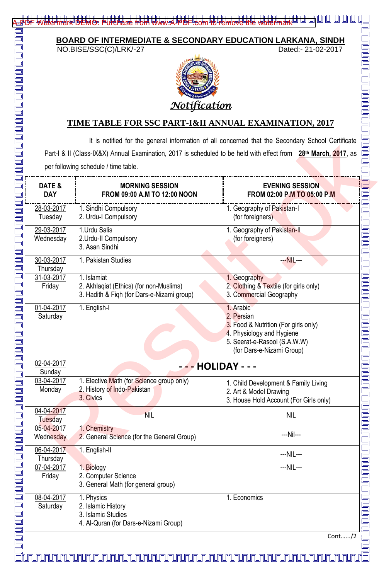

# **BOARD OF INTERMEDIATE & SECONDARY EDUCATION LARKANA, SINDH**

<u>Tunununun</u>

NO.BISE/SSC(C)/LRK/-27



## **TIME TABLE FOR SSC PART-I&II ANNUAL EXAMINATION, 2017**

| NO.BISE/SSC(C)/LRK/-27                                                                                                       | Dated: - 21-02-2017                                                                                                            |
|------------------------------------------------------------------------------------------------------------------------------|--------------------------------------------------------------------------------------------------------------------------------|
|                                                                                                                              |                                                                                                                                |
| <u>Notífícatíon</u>                                                                                                          |                                                                                                                                |
| <b>TIME TABLE FOR SSC PART-I&amp;II ANNUAL EXAMINATION, 2017</b>                                                             |                                                                                                                                |
| It is notified for the general information of all concerned that the Secondary School Certificate                            |                                                                                                                                |
| Part-I & II (Class-IX&X) Annual Examination, 2017 is scheduled to be held with effect from 28 <sup>th</sup> March, 2017, as  |                                                                                                                                |
| per following schedule / time table.                                                                                         |                                                                                                                                |
| DATE &<br><b>MORNING SESSION</b><br><b>DAY</b><br>FROM 09:00 A.M TO 12:00 NOON                                               | <b>EVENING SESSION</b><br>FROM 02:00 P.M TO 05:00 P.M                                                                          |
| 28-03-2017<br>1. Sindhi Compulsory<br>Tuesday<br>2. Urdu-I Compulsory                                                        | 1. Geography of Pakistan-I<br>(for foreigners)                                                                                 |
| 1. Urdu Salis<br>29-03-2017<br>Wednesday<br>2.Urdu-II Compulsory<br>3. Asan Sindhi                                           | 1. Geography of Pakistan-II<br>(for foreigners)                                                                                |
| 30-03-2017<br>1. Pakistan Studies<br>Thursday                                                                                | $-MIL--$                                                                                                                       |
| 31-03-2017<br>1. Islamiat<br>2. Akhlaqiat (Ethics) (for non-Muslims)<br>Friday<br>3. Hadith & Fiqh (for Dars-e-Nizami group) | 1. Geography<br>2. Clothing & Textile (for girls only)<br>3. Commercial Geography                                              |
| 01-04-2017<br>1. English-I<br>1. Arabic<br>2. Persian<br>Saturday                                                            | 3. Food & Nutrition (For girls only)<br>4. Physiology and Hygiene<br>5. Seerat-e-Rasool (S.A.W.W)<br>(for Dars-e-Nizami Group) |
| 02-04-2017<br><b>HOLIDAY - - -</b><br>Sunday                                                                                 |                                                                                                                                |
| 03-04-2017<br>1. Elective Math (for Science group only)<br>2. History of Indo-Pakistan<br>Monday<br>3. Civics                | 1. Child Development & Family Living<br>2. Art & Model Drawing<br>3. House Hold Account (For Girls only)                       |
| 04-04-2017<br><b>NIL</b><br>Tuesday                                                                                          | <b>NIL</b>                                                                                                                     |
| 05-04-2017<br>1. Chemistry<br>2. General Science (for the General Group)<br>Wednesday                                        | ---Nil---                                                                                                                      |
| 06-04-2017<br>1. English-II<br>Thursday                                                                                      | $--NIL---$                                                                                                                     |
| 07-04-2017<br>1. Biology<br>2. Computer Science<br>Friday<br>3. General Math (for general group)                             | $-$ -NIL $-$ -                                                                                                                 |
| 08-04-2017<br>1. Physics<br>Saturday<br>2. Islamic History                                                                   | 1. Economics                                                                                                                   |